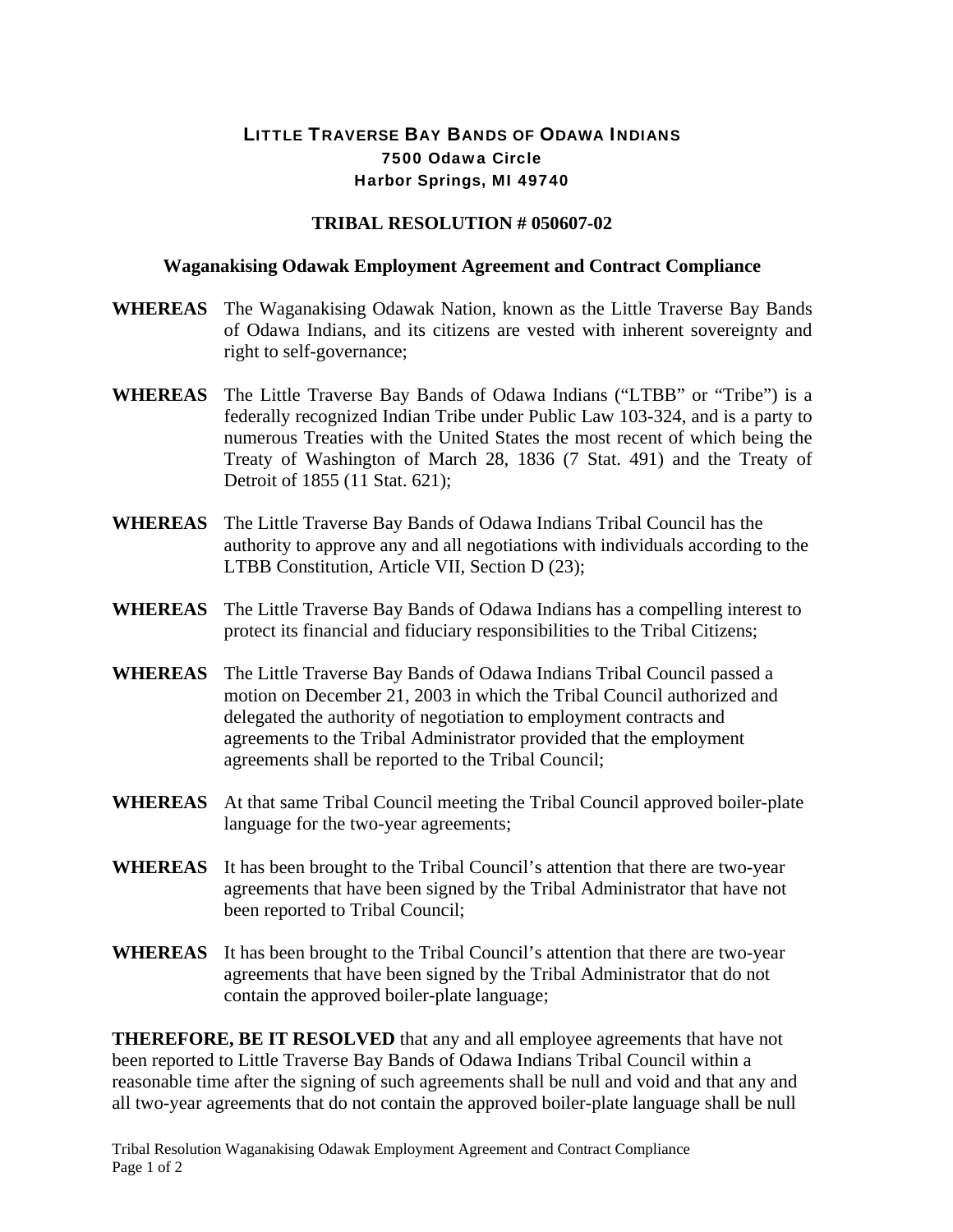## LITTLE TRAVERSE BAY BANDS OF ODAWA INDIANS 7500 Odawa Circle Harbor Springs, MI 49740

## **TRIBAL RESOLUTION # 050607-02**

## **Waganakising Odawak Employment Agreement and Contract Compliance**

- **WHEREAS** The Waganakising Odawak Nation, known as the Little Traverse Bay Bands of Odawa Indians, and its citizens are vested with inherent sovereignty and right to self-governance;
- **WHEREAS** The Little Traverse Bay Bands of Odawa Indians ("LTBB" or "Tribe") is a federally recognized Indian Tribe under Public Law 103-324, and is a party to numerous Treaties with the United States the most recent of which being the Treaty of Washington of March 28, 1836 (7 Stat. 491) and the Treaty of Detroit of 1855 (11 Stat. 621);
- **WHEREAS** The Little Traverse Bay Bands of Odawa Indians Tribal Council has the authority to approve any and all negotiations with individuals according to the LTBB Constitution, Article VII, Section D (23);
- **WHEREAS** The Little Traverse Bay Bands of Odawa Indians has a compelling interest to protect its financial and fiduciary responsibilities to the Tribal Citizens;
- **WHEREAS** The Little Traverse Bay Bands of Odawa Indians Tribal Council passed a motion on December 21, 2003 in which the Tribal Council authorized and delegated the authority of negotiation to employment contracts and agreements to the Tribal Administrator provided that the employment agreements shall be reported to the Tribal Council;
- **WHEREAS** At that same Tribal Council meeting the Tribal Council approved boiler-plate language for the two-year agreements;
- **WHEREAS** It has been brought to the Tribal Council's attention that there are two-year agreements that have been signed by the Tribal Administrator that have not been reported to Tribal Council;
- **WHEREAS** It has been brought to the Tribal Council's attention that there are two-year agreements that have been signed by the Tribal Administrator that do not contain the approved boiler-plate language;

**THEREFORE, BE IT RESOLVED** that any and all employee agreements that have not been reported to Little Traverse Bay Bands of Odawa Indians Tribal Council within a reasonable time after the signing of such agreements shall be null and void and that any and all two-year agreements that do not contain the approved boiler-plate language shall be null